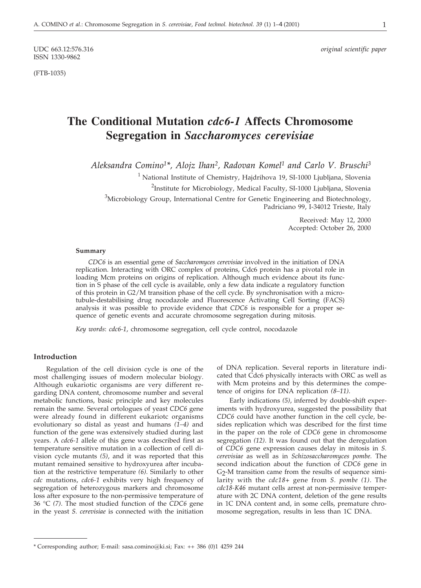ISSN 1330-9862

(FTB-1035)

# **The Conditional Mutation** *cdc6-1* **Affects Chromosome Segregation in** *Saccharomyces cerevisiae*

*Aleksandra Comino1\*, Alojz Ihan2, Radovan Komel1 and Carlo V. Bruschi3*

<sup>1</sup> National Institute of Chemistry, Hajdrihova 19, SI-1000 Ljubljana, Slovenia <sup>2</sup>Institute for Microbiology, Medical Faculty, SI-1000 Ljubljana, Slovenia

<sup>3</sup>Microbiology Group, International Centre for Genetic Engineering and Biotechnology,

Padriciano 99, I-34012 Trieste, Italy

Received: May 12, 2000 Accepted: October 26, 2000

## **Summary**

*CDC6* is an essential gene of *Saccharomyces cerevisiae* involved in the initiation of DNA replication. Interacting with ORC complex of proteins, Cdc6 protein has a pivotal role in loading Mcm proteins on origins of replication. Although much evidence about its function in S phase of the cell cycle is available, only a few data indicate a regulatory function of this protein in G2/M transition phase of the cell cycle. By synchronisation with a microtubule-destabilising drug nocodazole and Fluorescence Activating Cell Sorting (FACS) analysis it was possible to provide evidence that *CDC6* is responsible for a proper sequence of genetic events and accurate chromosome segregation during mitosis.

*Key words*: *cdc6-1*, chromosome segregation, cell cycle control, nocodazole

# **Introduction**

Regulation of the cell division cycle is one of the most challenging issues of modern molecular biology. Although eukariotic organisms are very different regarding DNA content, chromosome number and several metabolic functions, basic principle and key molecules remain the same. Several ortologues of yeast *CDC6* gene were already found in different eukariotc organisms evolutionary so distal as yeast and humans *(1–4)* and function of the gene was extensively studied during last years. A *cdc6-1* allele of this gene was described first as temperature sensitive mutation in a collection of cell division cycle mutants *(5)*, and it was reported that this mutant remained sensitive to hydroxyurea after incubation at the restrictive temperature *(6)*. Similarly to other *cdc* mutations, *cdc6-1* exhibits very high frequency of segregation of heterozygous markers and chromosome loss after exposure to the non-permissive temperature of 36 °C *(7)*. The most studied function of the *CDC6* gene in the yeast *S. cerevisiae* is connected with the initiation

of DNA replication. Several reports in literature indicated that Cdc6 physically interacts with ORC as well as with Mcm proteins and by this determines the competence of origins for DNA replication *(8–11)*.

Early indications *(5)*, inferred by double-shift experiments with hydroxyurea, suggested the possibility that *CDC6* could have another function in the cell cycle, besides replication which was described for the first time in the paper on the role of *CDC6* gene in chromosome segregation *(12)*. It was found out that the deregulation of *CDC6* gene expression causes delay in mitosis in *S. cerevisiae* as well as in *Schizosaccharomyces pombe.* The second indication about the function of *CDC6* gene in G2-M transition came from the results of sequence similarity with the *cdc18+* gene from *S. pombe (1)*. The *cdc18-K46* mutant cells arrest at non-permissive temperature with 2C DNA content, deletion of the gene results in 1C DNA content and, in some cells, premature chromosome segregation, results in less than 1C DNA.

<sup>\*</sup> Corresponding author; E-mail: sasa.comino*@*ki.si; Fax: ++ 386 (0)1 4259 244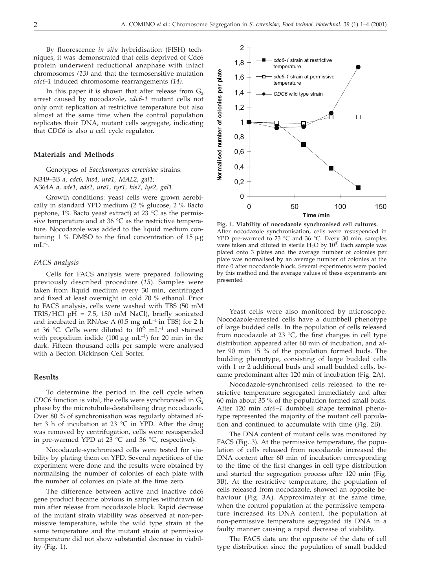By fluorescence *in situ* hybridisation (FISH) techniques, it was demonstrated that cells deprived of Cdc6 protein underwent reductional anaphase with intact chromosomes *(13)* and that the termosensitive mutation *cdc6*-*1* induced chromosome rearrangements *(14)*.

In this paper it is shown that after release from  $G<sub>2</sub>$ arrest caused by nocodazole, *cdc6-1* mutant cells not only omit replication at restrictive temperature but also almost at the same time when the control population replicates their DNA, mutant cells segregate, indicating that *CDC6* is also a cell cycle regulator.

### **Materials and Methods**

Genotypes of *Saccharomyces cerevisiae* strains:

N349–3B *a, cdc6, his4, ura1, MAL2, gal1*; A364A *a, ade1, ade2, ura1, tyr1, his7, lys2, gal1*.

Growth conditions: yeast cells were grown aerobically in standard YPD medium (2 % glucose, 2 % Bacto peptone,  $1\%$  Bacto yeast extract) at 23 °C as the permissive temperature and at 36 °C as the restrictive temperature. Nocodazole was added to the liquid medium containing 1 % DMSO to the final concentration of 15  $\mu$ g  $mL^{-1}$ .

# *FACS analysis*

Cells for FACS analysis were prepared following previously described procedure (*15*). Samples were taken from liquid medium every 30 min, centrifuged and fixed at least overnight in cold 70 % ethanol. Prior to FACS analysis, cells were washed with TBS (50 mM TRIS/HCl pH = 7.5, 150 mM NaCl), briefly sonicated and incubated in RNAse A (0.5 mg  $mL^{-1}$  in TBS) for 2 h at 36 °C. Cells were diluted to  $10^6$  mL<sup>-1</sup> and stained with propidium iodide (100  $\mu$ g mL<sup>-1</sup>) for 20 min in the dark. Fifteen thousand cells per sample were analysed with a Becton Dickinson Cell Sorter.

#### **Results**

To determine the period in the cell cycle when *CDC6* function is vital, the cells were synchronised in  $G_2$ phase by the microtubule-destabilising drug nocodazole. Over 80 % of synchronisation was regularly obtained after 3 h of incubation at 23 °C in YPD. After the drug was removed by centrifugation, cells were resuspended in pre-warmed YPD at 23 °C and 36 °C, respectively.

Nocodazole-synchronised cells were tested for viability by plating them on YPD. Several repetitions of the experiment were done and the results were obtained by normalising the number of colonies of each plate with the number of colonies on plate at the time zero.

The difference between active and inactive cdc6 gene product became obvious in samples withdrawn 60 min after release from nocodazole block. Rapid decrease of the mutant strain viability was observed at non-permissive temperature, while the wild type strain at the same temperature and the mutant strain at permissive temperature did not show substantial decrease in viability (Fig. 1).



**Fig. 1. Viability of nocodazole synchronised cell cultures.** After nocodazole synchronisation, cells were resuspended in YPD pre-warmed to 23 °C and 36 °C. Every 30 min, samples were taken and diluted in sterile H<sub>2</sub>O by  $10^3$ . Each sample was plated onto 3 plates and the average number of colonies per plate was normalised by an average number of colonies at the time 0 after nocodazole block. Several experiments were pooled by this method and the average values of these experiments are presented

Yeast cells were also monitored by microscope. Nocodazole-arrested cells have a dumbbell phenotype of large budded cells. In the population of cells released from nocodazole at 23 °C, the first changes in cell type distribution appeared after 60 min of incubation, and after 90 min 15 % of the population formed buds. The budding phenotype, consisting of large budded cells with 1 or 2 additional buds and small budded cells, became predominant after 120 min of incubation (Fig. 2A).

Nocodazole-synchronised cells released to the restrictive temperature segregated immediately and after 60 min about 35 % of the population formed small buds. After 120 min *cdc6–1* dumbbell shape terminal phenotype represented the majority of the mutant cell population and continued to accumulate with time (Fig. 2B).

The DNA content of mutant cells was monitored by FACS (Fig. 3). At the permissive temperature, the population of cells released from nocodazole increased the DNA content after 60 min of incubation corresponding to the time of the first changes in cell type distribution and started the segregation process after 120 min (Fig. 3B). At the restrictive temperature, the population of cells released from nocodazole, showed an opposite behaviour (Fig. 3A). Approximately at the same time, when the control population at the permissive temperature increased its DNA content, the population at non-permissive temperature segregated its DNA in a faulty manner causing a rapid decrease of viability.

The FACS data are the opposite of the data of cell type distribution since the population of small budded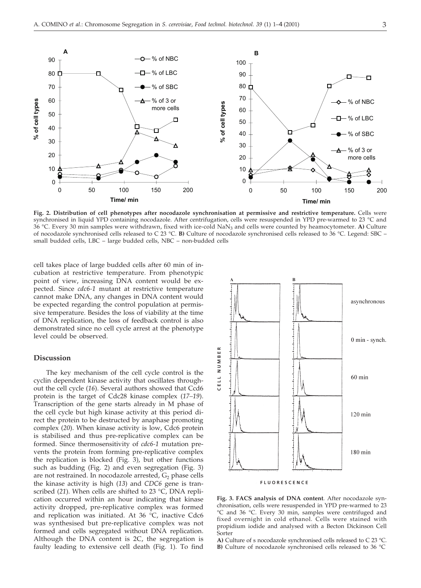

**Fig. 2. Distribution of cell phenotypes after nocodazole synchronisation at permissive and restrictive temperature.** Cells were synchronised in liquid YPD containing nocodazole. After centrifugation, cells were resuspended in YPD pre-warmed to 23 °C and 36 °C. Every 30 min samples were withdrawn, fixed with ice-cold NaN3 and cells were counted by heamocytometer. **A)** Culture of nocodazole synchronised cells released to C 23 °C. **B)** Culture of nocodazole synchronised cells released to 36 °C. Legend: SBC – small budded cells, LBC – large budded cells, NBC – non-budded cells

cell takes place of large budded cells after 60 min of incubation at restrictive temperature. From phenotypic point of view, increasing DNA content would be expected. Since *cdc6-1* mutant at restrictive temperature cannot make DNA, any changes in DNA content would be expected regarding the control population at permissive temperature. Besides the loss of viability at the time of DNA replication, the loss of feedback control is also demonstrated since no cell cycle arrest at the phenotype level could be observed.

# **Discussion**

The key mechanism of the cell cycle control is the cyclin dependent kinase activity that oscillates throughout the cell cycle (*16*). Several authors showed that Ccd6 protein is the target of Cdc28 kinase complex (*17–19*). Transcription of the gene starts already in M phase of the cell cycle but high kinase activity at this period direct the protein to be destructed by anaphase promoting complex (*20*). When kinase activity is low, Cdc6 protein is stabilised and thus pre-replicative complex can be formed. Since thermosensitivity of *cdc6-1* mutation prevents the protein from forming pre-replicative complex the replication is blocked (Fig. 3), but other functions such as budding (Fig. 2) and even segregation (Fig. 3) are not restrained. In nocodazole arrested,  $G_2$  phase cells the kinase activity is high (*13*) and *CDC6* gene is transcribed (*21*). When cells are shifted to 23 °C, DNA replication occurred within an hour indicating that kinase activity dropped, pre-replicative complex was formed and replication was initiated. At 36 °C, inactive Cdc6 was synthesised but pre-replicative complex was not formed and cells segregated without DNA replication. Although the DNA content is 2C, the segregation is faulty leading to extensive cell death (Fig. 1). To find



**Fig. 3. FACS analysis of DNA content**. After nocodazole synchronisation, cells were resuspended in YPD pre-warmed to 23 °C and 36 °C. Every 30 min, samples were centrifuged and fixed overnight in cold ethanol. Cells were stained with propidium iodide and analysed with a Becton Dickinson Cell Sorter

**A)** Culture of s nocodazole synchronised cells released to C 23 °C. **B)** Culture of nocodazole synchronised cells released to 36 °C